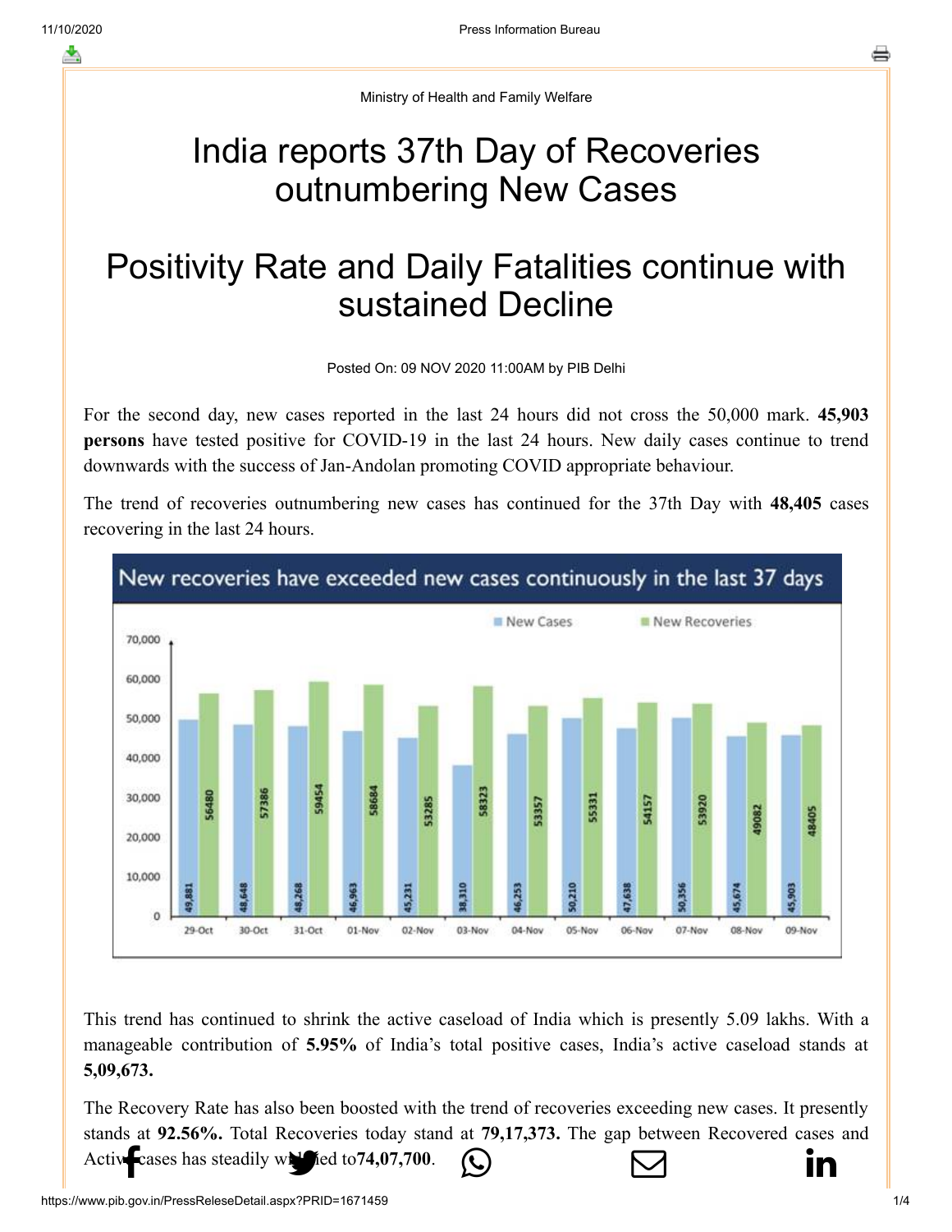Ministry of Health and Family Welfare

## India reports 37th Day of Recoveries outnumbering New Cases

## Positivity Rate and Daily Fatalities continue with sustained Decline

Posted On: 09 NOV 2020 11:00AM by PIB Delhi

For the second day, new cases reported in the last 24 hours did not cross the 50,000 mark. **45,903 persons** have tested positive for COVID-19 in the last 24 hours. New daily cases continue to trend downwards with the success of Jan-Andolan promoting COVID appropriate behaviour.

The trend of recoveries outnumbering new cases has continued for the 37th Day with **48,405** cases recovering in the last 24 hours.



This trend has continued to shrink the active caseload of India which is presently 5.09 lakhs. With a manageable contribution of **5.95%** of India's total positive cases, India's active caseload stands at **5,09,673.**

The Recovery Rate has also been boosted with the trend of recoveries exceeding new cases. It presently stands at **92.56%.** Total Recoveries tod[ay stand at](https://api.whatsapp.com/send?text=https://pib.gov.in/PressReleasePage.aspx?PRID=1671365) **79,17,373.** [The gap between Rec](https://mail.google.com/mail/?view=cm&fs=1&tf=1&to=&su=India%20reports%2037th%20Day%20of%20Recoveries%20outnumbering%20New%20Cases&body=https://pib.gov.in/PressReleasePage.aspx?PRID=1671365&ui=2&tf=1&pli=1)[overed cases and](https://www.linkedin.com/shareArticle?mini=true&url=https://pib.gov.in/PressReleasePage.aspx?PRID=1671365&title=India%20reports%2037th%20Day%20of%20Recoveries%20outnumbering%20New%20Cases&summary=My%20favorite%20developer%20program&source=LinkedIn) [Active cases has s](http://www.facebook.com/share.php?u=https://pib.gov.in/PressReleasePage.aspx?PRID=1671365)teadily will red to 74,07,700.  $\qquad \qquad \qquad \Box$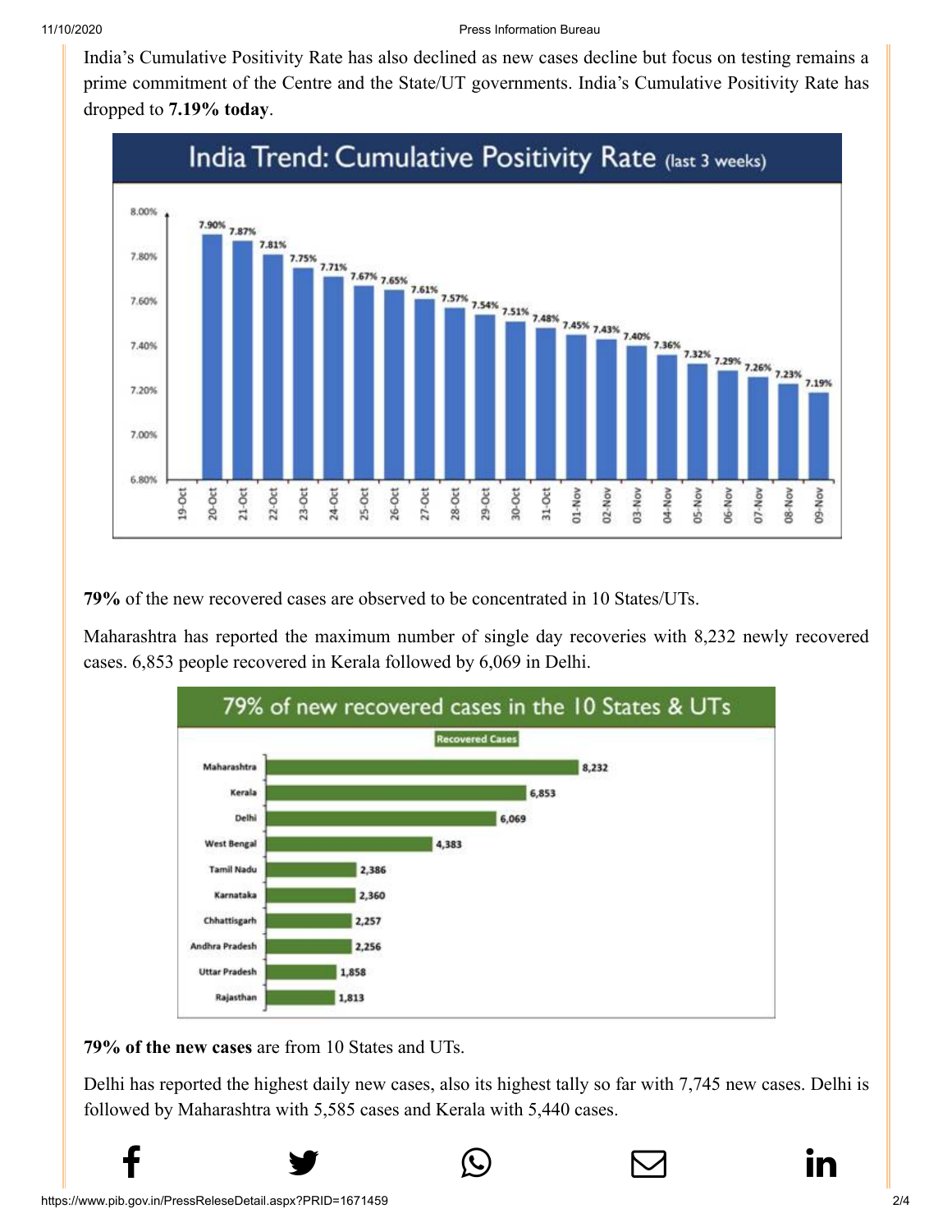[India's Cumulativ](http://www.facebook.com/share.php?u=https://pib.gov.in/PressReleasePage.aspx?PRID=1671365)[e Positivity Rate has al](https://twitter.com/intent/tweet?url=https://pib.gov.in/PressReleasePage.aspx?PRID=1671365&text=India%20reports%2037th%20Day%20of%20Recoveries%20outnumbering%20New%20Cases)[so declined as new cas](https://api.whatsapp.com/send?text=https://pib.gov.in/PressReleasePage.aspx?PRID=1671365)[es decline but focus on](https://mail.google.com/mail/?view=cm&fs=1&tf=1&to=&su=India%20reports%2037th%20Day%20of%20Recoveries%20outnumbering%20New%20Cases&body=https://pib.gov.in/PressReleasePage.aspx?PRID=1671365&ui=2&tf=1&pli=1) [testing remains a](https://www.linkedin.com/shareArticle?mini=true&url=https://pib.gov.in/PressReleasePage.aspx?PRID=1671365&title=India%20reports%2037th%20Day%20of%20Recoveries%20outnumbering%20New%20Cases&summary=My%20favorite%20developer%20program&source=LinkedIn) prime commitment of the Centre and the State/UT governments. India's Cumulative Positivity Rate has dropped to **7.19% today**.



**79%** of the new recovered cases are observed to be concentrated in 10 States/UTs.

Maharashtra has reported the maximum number of single day recoveries with 8,232 newly recovered cases. 6,853 people recovered in Kerala followed by 6,069 in Delhi.



**79% of the new cases** are from 10 States and UTs.

Delhi has reported the highest daily new cases, also its highest tally so far with 7,745 new cases. Delhi is followed by Maharashtra with 5,585 cases and Kerala with 5,440 cases.

 $f$  y  $\circledcirc$   $\quad \circ$  in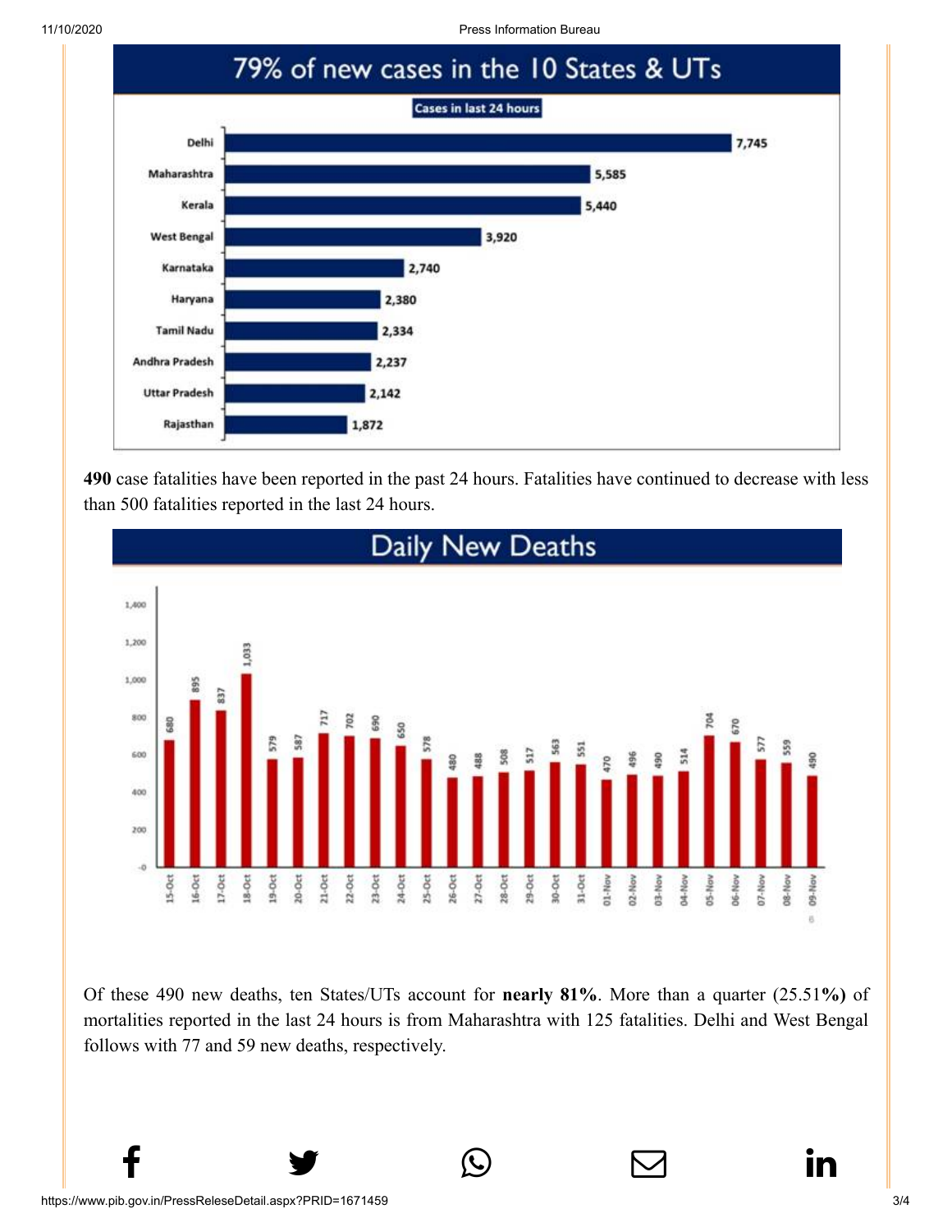11/10/2020 Press Information Bureau



**490** case fatalities have been reported in the past 24 hours. Fatalities have continued to decrease with less than 500 fatalities reported in the last 24 hours.



Of these 490 new deaths, ten States/UTs account for **nearly 81%**. More than a quarter (25.51**%)** of mortalities reported in the last 24 hours is from Maharashtra with 125 fatalities. Delhi and West Bengal follows with 77 and 59 new deaths, respectively.

 $f$  y  $\circledcirc$   $\quad \circ$  in